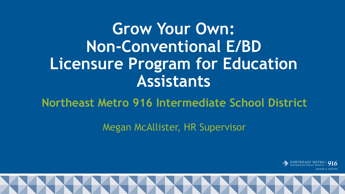### **Grow Your Own: Non-Conventional E/BD Licensure Program for Education Assistants**

**Northeast Metro 916 Intermediate School District**

Megan McAllister, HR Supervisor



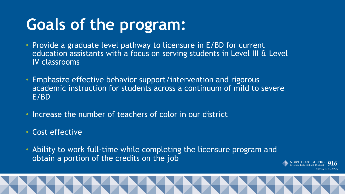## **Goals of the program:**

- Provide a graduate level pathway to licensure in E/BD for current education assistants with a focus on serving students in Level III & Level IV classrooms
- Emphasize effective behavior support/intervention and rigorous academic instruction for students across a continuum of mild to severe E/BD
- Increase the number of teachers of color in our district
- Cost effective
- Ability to work full-time while completing the licensure program and obtain a portion of the credits on the job



artners in educatio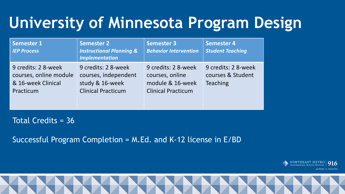# **University of Minnesota Program Design**

| <b>Semester 1</b><br><b>IEP Process</b>                                          | <b>Semester 2</b><br><b>Instructional Planning &amp;</b><br><b>Implementation</b>           | <b>Semester 3</b><br><b>Behavior Intervention</b>                                       | <b>Semester 4</b><br><b>Student Teaching</b>                |
|----------------------------------------------------------------------------------|---------------------------------------------------------------------------------------------|-----------------------------------------------------------------------------------------|-------------------------------------------------------------|
| 9 credits: 2 8-week<br>courses, online module<br>& 16-week Clinical<br>Practicum | 9 credits: 2 8-week<br>courses, independent<br>study & 16-week<br><b>Clinical Practicum</b> | 9 credits: 2 8-week<br>courses, online<br>module & 16-week<br><b>Clinical Practicum</b> | 9 credits: 2 8-week<br>courses & Student<br><b>Teaching</b> |

Total Credits = 36

Successful Program Completion = M.Ed. and K-12 license in E/BD

NORTHEAST METRO |<br>Intermediate School District | partners in education

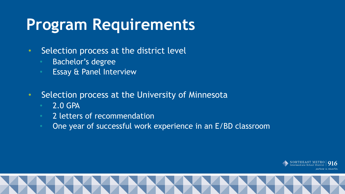#### **Program Requirements**

- Selection process at the district level
	- Bachelor's degree
	- Essay & Panel Interview
- Selection process at the University of Minnesota
	- 2.0 GPA
	- 2 letters of recommendation
	- One year of successful work experience in an E/BD classroom



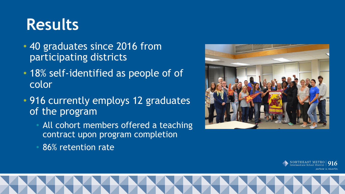## **Results**

- 40 graduates since 2016 from participating districts
- 18% self-identified as people of of color
- 916 currently employs 12 graduates of the program
	- All cohort members offered a teaching contract upon program completion
	- 86% retention rate





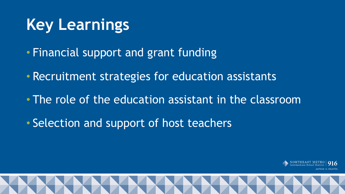# **Key Learnings**

- Financial support and grant funding
- Recruitment strategies for education assistants
- The role of the education assistant in the classroom
- Selection and support of host teachers